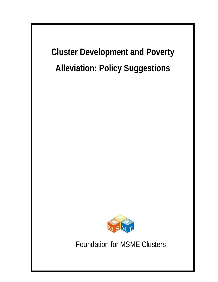**Cluster Development and Poverty Alleviation: Policy Suggestions**



Foundation for MSME Clusters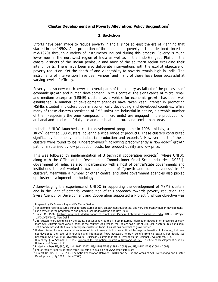## **Cluster Development and Poverty Alleviation: Policy Suggestions<sup>1</sup>**

### **1. Backdrop**

Efforts have been made to reduce poverty in India, since at least the era of Planning that started in the 1950s. As a proportion of the population, poverty in India declined since the mid-1970s through a variety of instruments induced during this process. Poverty is much lower now in the northwest region of India as well as in the Indo-Gangetic Plain, in the coastal districts of the Indian peninsula and most of the southern region excluding their interior parts. There have been also deliberate interventions with the explicit objective of poverty reduction. Yet the depth of and vulnerability to poverty remain high in India. The instruments of intervention have been various<sup>2</sup> and many of these have been successful at varying levels of efficacy.<sup>3</sup>

Poverty is also now much lower in several parts of the country as fallout of the processes of economic growth and human development. In this context, the significance of micro, small and medium enterprise (MSME) clusters, as a vehicle for economic growth has been well established. A number of development agencies have taken keen interest in promoting MSMEs situated in clusters both in economically developing and developed countries. While many of these clusters (consisting of SME units) are industrial in nature, a sizeable number of them (especially the ones composed of micro units) are engaged in the production of artisanal and products of daily use and are located in rural and semi-urban areas.

In India, UNIDO launched a cluster development programme in 1996. Initially, a mapping study<sup>4</sup> identified 138 clusters, covering a wide range of products. These clusters contributed significantly to employment, industrial production and exports<sup>5</sup>. However most of these clusters were found to be "underachievers"<sup>6</sup>, following predominantly a "low-road"<sup>7</sup> growth path characterised by low production costs, low product quality and low price.

This was followed by implementation of 3 technical cooperation projects<sup>8</sup>, where UNIDO along with the Office of the Development Commissioner Small Scale Industries (DCSSI), Government of India, as also in partnership with a host of central/state governments and institutions thereof worked towards an agenda of "growth and competitiveness" in 24 clusters<sup>9</sup>. Meanwhile a number of other central and state government agencies also picked up cluster development methodology.

Acknowledging the experience of UNIDO in supporting the development of MSME clusters and in the light of potential contribution of this approach towards poverty reduction, the Swiss Agency for Development and Cooperation supported a Project<sup>10</sup>, whose objective was

 $\overline{a}$ 

<sup>&</sup>lt;sup>1</sup> Prepared by Dr Shovan Ray and Dr Tamal Sarkar<br><sup>2</sup> Fer example relief measures, rural infrastructure o

<sup>&</sup>lt;sup>2</sup> For example relief measures, rural infrastructure support, employment guarantee, and very importantly human development

 $3$  For a review of the programmes and policies, see Radhakrishna and Ray (2006)

<sup>&</sup>lt;sup>4</sup> Gulati M. 1996. Restructuring and Modernisation of Small and Medium Enterprise Clusters in India. UNIDO (Project US/GLO/95/144), New Delhi

<sup>&</sup>lt;sup>5</sup> 138 clusters were identified by the Study. Subsequently, as the Project matured, information flowed in on presence of many more SME clusters from various parts of the country. At present, the Project has a list of 388 SME clusters, 400 handloom, 3000 handicraft and 2800 micro enterprise clusters in India. This list has potential to grow further.

<sup>&</sup>lt;sup>6</sup> Underachiever clusters have a critical mass of firms in related industries sufficient to reap the benefits of clustering, but have not developed the level of interaction and information flows necessary to truly benefit from co-location. For details see Rosenfeld, Stuart A. 1996. Overachievers – Business Clusters that Work - Prospects for Regional Development. RTS

<sup>&</sup>lt;sup>7</sup> Humphrey, J. & Schmitz, H. 1995. Principles for Promoting Clusters & Networks of SME. Institute of Development Studies. University of Sussex. U.K.

<sup>8</sup> Project numbers US/GLO/95/144 (1997-2001), US/IND/97/148 (1999 – 2002) and US/IND/01/193 (2001 – 2005)

<sup>&</sup>lt;sup>9</sup> End of Project Reports of these three Projects are available at www.smeclusters.org

<sup>10</sup> Project No. US/GLO/02/059 - Thematic Cooperation Between UNIDO and SDC in the Areas of SME Networking and Cluster Development (July 2003 to June 2006)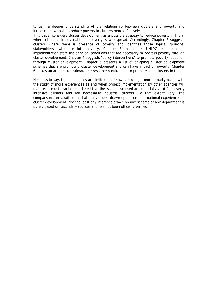to gain a deeper understanding of the relationship between clusters and poverty and introduce new tools to reduce poverty in clusters more effectively.

This paper considers cluster development as a possible strategy to reduce poverty in India, where clusters already exist and poverty is widespread. Accordingly, Chapter 2 suggests clusters where there is presence of poverty and identifies those typical "principal stakeholders" who are into poverty. Chapter 3, based on UNIDO experience in implementation state the principal conditions that are necessary to address poverty through cluster development. Chapter 4 suggests "policy interventions" to promote poverty reduction through cluster development. Chapter 5 presents a list of on-going cluster development schemes that are promoting cluster development and can have impact on poverty. Chapter 6 makes an attempt to estimate the resource requirement to promote such clusters in India.

Needless to say, the experiences are limited as of now and will get more broadly based with the study of more experiences as and when project implementation by other agencies will mature. It must also be mentioned that the issues discussed are especially valid for poverty intensive clusters and not necessarily industrial clusters. To that extent very little comparisons are available and also have been drawn upon from international experiences in cluster development. Not the least any inference drawn on any scheme of any department is purely based on secondary sources and has not been officially verified.

 $\overline{a}$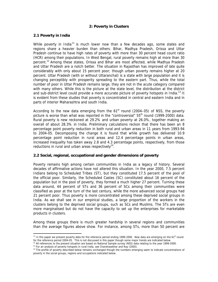## **2: Poverty in Clusters**

### **2.1 Poverty in India**

 $\overline{a}$ 

While poverty in India<sup>11</sup> is much lower now than a few decades ago, some states and regions share a heavier burden than others. Bihar, Madhya Pradesh, Orissa and Uttar Pradesh continue to have high rates of poverty with more than 30 percent head count ratio (HCR) among their populations. In West Bengal, rural poverty remains high at more than 30 percent.<sup>12</sup> Among these states, Orissa and Bihar are most affected, while Madhya Pradesh and Uttar Pradesh are a notch better. The situation in Rajasthan has improved of late quite considerably with only about 15 percent poor; though urban poverty remains higher at 20 percent. Uttar Pradesh (with or without Uttaranchal) is a state with large population and it is changing perceptibly with prosperity spreading to the eastern part. Thus, while the total number of poor in Uttar Pradesh remains large, they are not in the acute category compared with many others. While this is the picture at the state level, the distribution at the district and sub-district level could provide a more accurate picture of poverty hotspots in India.<sup>13</sup> It is evident from these studies that poverty is concentrated in central and eastern India and in parts of interior Maharashtra and south India.

According to the new data emerging from the  $61<sup>st</sup>$  round (2004–05) of NSS, the poverty picture is worse than what was reported in the "controversial"  $55<sup>th</sup>$  round (1999-2000) data. Rural poverty is new reckoned at 29.2% and urban poverty at 26.0%, together making an overall of about 28.3% in India. Preliminary calculations reckon that there has been an 8 percentage point poverty reduction in both rural and urban areas in 11 years from 1993-94 to 2004-05. Decomposing the change it is found that while growth has delivered 10.9 percentage point reduction in rural areas and 12.4 percentage points in urban areas, increased inequality has taken away 2.8 and 4.3 percentage points, respectively, from those reductions in rural and urban areas respectively<sup>14</sup>.

## **2.2 Social, regional, occupational and gender dimensions of poverty**

Poverty remains high among certain communities in India as a legacy of history. Several decades of affirmative actions have not altered this situation. In the year 2000, 7.5 percent Indians belong to Scheduled Tribes (ST), but they constituted 17.5 percent of the pool of the official poor. Similarly, the Scheduled Castes (SC) constituted about 16 percent of the population but in the pool of poverty, they formed a much higher 27 percent. Turning these data around, 44 percent of STs and 36 percent of SCs among their communities were classified as poor at the turn of the last century, while the more advanced social groups had 21 percent poor. Thus poverty is more concentrated among these deprived social groups in India. As we shall see in our empirical studies, a large proportion of the workers in the clusters belong to the deprived social groups, such as SCs and Muslims. The STs are even more marginalised but do not have the capacity to set up the enterprises for marketable products in clusters.

Among these groups there is much greater hardship in several regions and communities than the average figures above show. For instance, among STs, more than 50 percent are

<sup>&</sup>lt;sup>11</sup> In this paper we present poverty data for the reference period ending 1999-2000. New data are emerging on the 61<sup>st</sup> round

for the reference period 2004-05. This is not discussed in this paper though some major trends are indicated below.<br><sup>12</sup> All references to the present situation are based on National Sample survey (NSS) data relating to t

<sup>&</sup>lt;sup>14</sup> The profile of poverty described below remains unchanged though the numbers emerging seem to indicate concentrations of poverty in the social groups, regions and occupations indicated below.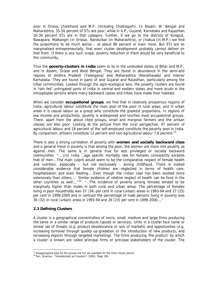poor in Orissa, Jharkhand and M.P. (including Chattisgarh). In Assam, W. Bengal and Maharashtra, 35-50 percent of STs are poor, while in A.P., Gujarat, Karnataka and Rajasthan, 20-30 percent STs are in that category. Further, if we go to the districts of Koraput, Nawapara, Malkangiri (in Orissa), Nandurbar (in Maharashtra), or Jhabua (in M.P.) we find the proportions to be much worse – at about 80 percent or even more. But STs are so marginalised entrepreneurially, that even cluster development probably cannot deliver on that front. If there is any such scope, poverty reduction in them would be very beneficial to this community.

Thus the **poverty-clusters in India** seem to lie in the undivided states of Bihar and M.P., and in Assam, Orissa and West Bengal. They are found in abundance in the semi-arid regions of Andhra Pradesh (Telengana) and Maharashtra (Marathwada) and interior Karnataka. They are found in parts of arid Gujarat and Rajasthan, particularly among the tribal communities. Looked through the agro-ecological lens, the poverty clusters are found in 'rain fed' unirrigated parts of India in central and eastern states and more acute in the inhospitable terrains where many backward castes and tribes have made their habitats.

When we consider **occupational groups**, we find that in relatively prosperous regions of India, agricultural labour constitute the main pool of the poor in rural areas, and in urban areas it is casual labour as a group who constitute the greatest proportions. In regions of low income and productivity, poverty is widespread and touches most occupational groups. There, apart from the above cited groups, small and marginal farmers and the artisan classes are also poor. Looking at the picture from the rural perspective, 47 percent of agricultural labour and 28 percent of the self-employed constitute the poverty pool in India. By comparison, artisans constitute 12 percent and non-agricultural labour 7.6 percent.<sup>15</sup>

There is also a strong correlation of poverty with **women and socially backward class** and a general trend in poverty is that among the poor, the women are more into poverty as against men. The same is in general true for less privileged or socially backward communities. "… (In) India …age specific mortality rate for females consistently exceeds that of men….The main culprit would seem to be the comparative neglect of female health and nutrition, especially – but not exclusively - during childhood. There is indeed considerable evidence that female children are neglected in terms of health care, hospitalisation and even feeding…..Even though the Indian case has been studied more extensively than others….. Similar evidence of relative neglect of health can be fond in the other countries as well...."<sup>16</sup>. "...The incidence of poverty among females tended to be marginally higher than males in both rural and urban areas. The percentage of females living in poor households was 37 (34) per cent in rural (urban) areas in 1993-94 and 27 (25) per cent in 1999-2000 and in contrast the percentage of male persons living in poverty was 36 (32) in rural (urban) areas in 1993-94 and 26 (23) per cent in 1999-2000…."

## **2.3 Defining Clusters**

 $\overline{a}$ 

A cluster is a geographical concentration of micro, small, medium and large firms producing the same or a similar range of products (goods or services). Units in a cluster face same or similar set of threats (e.g. product obsolescence or lack of markets) and opportunities (e.g. increasing turnover through quality up-gradation or the introduction of new products, and increasing exports through targeted marketing). The firms producing 'the product' by which a cluster is known are called principal firms or principal stakeholders of the cluster. The

 $15$  Disaggregated data for the groups are not yet available for the more recent period.

<sup>16</sup> Sen, Amartya, "Development as Freedom" (2000). Page 106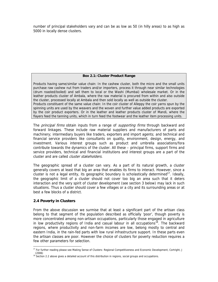number of principal stakeholders vary and can be as low as 50 (in hilly areas) to as high as 5000 in locally dense clusters.

### **Box 2.1: Cluster Product Range**

Products having same/similar value chain: In the cashew cluster, both the micro and the small units purchase raw cashew nut from traders and/or importers, process it through near similar technologies (drum roasted/boiled) and sell them to local or the Washi (Mumbai) wholesale market. Or in the leather products cluster of Ambala, where the raw material is procured from within and also outside the cluster, processed locally at Ambala and then sold locally as well as outside the cluster. Products constituent of the same value chain: In the coir cluster of Alleppy the coir yarns spun by the spinning units are used by the weavers and the woven and further value added products are exported by the coir product exporters. Or in the leather and leather products cluster of Mandi, where the flayers feed the tanning units, which in turn feed the footwear and the leather item processing units.

The *principal firms* obtain inputs from a range of *supporting firms* through backward and forward linkages. These include raw material suppliers and manufacturers of parts and machinery; intermediary buyers like traders, exporters and import agents; and technical and financial service providers like consultants on quality, environment, design, energy, and investment. Various interest groups such as product and umbrella associations/fora contribute towards the dynamics of the cluster. All these – principal firms, support firms and service providers, technical and financial institutions and interest groups are a part of the cluster and are called cluster stakeholders.

The geographic spread of a cluster can vary. As a part of its natural growth, a cluster generally covers at least that big an area that enables its firms to interact. However, since a cluster is not a legal entity, its geographic boundary is scholastically determined<sup>17</sup>. Ideally, the geographic limit of a cluster should not cover too big an area such that it deters interaction and the very spirit of cluster development (see section 3 below) may lack in such situations. Thus a cluster should cover a few villages or a city and its surrounding areas or at best a few blocks of a district.

# **2.4 Poverty in Clusters**

From the above discussion we surmise that at least a significant part of the artisan class belong to that segment of the population described as officially 'poor', though poverty is more concentrated among non-artisan occupations, particularly those engaged in agriculture in low productivity regions of India and casual labour in all occupations<sup>18</sup>. The backward regions, where productivity and non-farm incomes are low, belong mostly to central and eastern India, in the rain-fed parts with low rural infrastructure support. In these parts even the artisan classes are poor. However the choice of clusters for poverty reduction requires a few other parameters for selection.

 $\overline{a}$ <sup>17</sup> For further reading please see Making Sense of Clusters: Regional Competitiveness and Economic Development, Cortright, J (2006)

 $18$  Section 2.2 above gives a detailed account of this distribution in regions, social groups and occupations.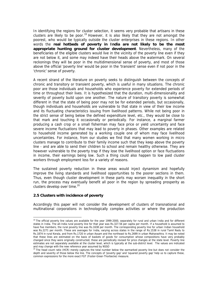In identifying the regions for cluster selection, it seems very probable that artisans in these clusters are likely to be poor.<sup>19</sup> However, it is also likely that they are not amongst the poorest, who would be typically outside the cluster enterprises in these regions. In other words the **real hotbeds of poverty in India are not likely to be the most appropriate hunting ground for cluster development**. Nevertheless, many of the beneficiaries of the eligible clusters would live in the vicinity of the poverty line even if they are not below it, and some may indeed have their heads above the watermark. On several reckonings they will be poor in the multidimensional sense of poverty, and most of those above the official 'poverty line' would be poor in the 'transient' sense even if not poor in the 'chronic' sense of poverty.

A recent strand of the literature on poverty seeks to distinguish between the concepts of chronic and transitory or transient poverty, which is useful in many situations. The chronic poor are those individuals and households who experience poverty for extended periods of time or throughout their lives. It is hypothesized that the duration, multi-dimensionality and severity of poverty build upon one another. The nature of transitory poverty is somewhat different in that the state of being poor may not be for extended periods, but occasionally, though individuals and households are vulnerable to that state in view of their low income and its fluctuating characteristics issuing from livelihood patterns. While not being poor in the strict sense of being below the defined expenditure level, etc., they would be close to that mark and touching it occasionally or periodically. For instance, a marginal farmer producing a cash crop or a small fisherman may face price or yield uncertainty and face severe income fluctuations that may lead to poverty in phases. Other examples are related to household income generated by a working couple one of whom may face livelihood uncertainties. For instance, from our studies we find that many women working in micro clusters manage to contribute to their family income such that they keep above the poverty line - and are able to send their children to school and remain healthy otherwise. They are however vulnerable to the poverty trap if they lose the livelihood option or face fluctuations in income, their earnings being low. Such a thing could also happen to low paid cluster workers through employment loss for a variety of reasons.

The sustained poverty reduction in these areas would inject dynamism and hopefully improve the living standards and livelihood opportunities to the poorer sections in them. Thus, even though cluster development in these parts may worsen inequality in the short run, the process may eventually benefit all poor in the region by spreading prosperity as clusters develop over time.<sup>20</sup>

## **2.5 Clusters with incidence of poverty**

 $\overline{a}$ 

Accordingly this paper will not consider the development of clusters of transnational and multinational corporations in technologically complex activities or where the production

<sup>&</sup>lt;sup>19</sup> The official poverty line values are available for the year 1999-2000, separately for rural and urban India and for different states in India. The all-India rural poverty line for that year was Rs.327.56 per capita per month. If a household is assumed to have five members, the rural poverty line was Rs.1638 per month. The corresponding poverty line for urban Indian household was Rs.2271 per month. These are averages for India, varying across states in the range of Rs.1538 in rural Tamil Nadu to Rs.1874 in rural Kerala, and from Rs.1720 in urban Assam and the northeast to Rs.2699 in urban Maharashtra. It may be noted that these lines are estimated on the basis of baskets of goods for consumption whose compositions have very probably changed since they were originally constructed; these are periodically revised for price changes at the state level. Poverty line estimates are not separately available at the cluster level, which is typically at the sub-district level. The values are indicated and may change with the new reference year assumed by NSSO

<sup>20</sup> The head count ratio (HCR) merely captures the total number below the earmarked poverty line but does not consider the depth and severity of those below the line. The concepts of 'poverty gap' and 'squared poverty gap' help us to capture these, common expressions for the more exact FGT (Foster-Greer-Thorbecke) measure.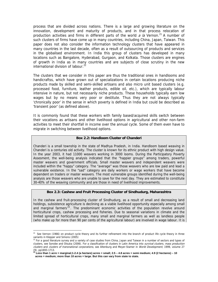process that are divided across nations. There is a large and growing literature on the innovation, development and maturity of products, and in that process relocation of production activities and firms in different parts of the world a la Vernon.<sup>21</sup> A number of such clusters of firms have come up in many countries, including China, Japan, Taiwan. This paper does not also consider the information technology clusters that have appeared in many countries in the last decade, often as a result of outsourcing of products and services in the globalised environment. In India this group of clusters has developed in many locations such as Bangalore, Hyderabad, Gurgaon, and Kolkata. Those clusters are engines of growth in India as in many countries and are subjects of close scrutiny in the new international division of labour. $^{22}$ 

The clusters that we consider in this paper are thus the traditional ones in handlooms and handicraftss, which have grown out of specializations in certain locations producing niche products made by skilled and semi-skilled artisans and also micro unit based clusters (e.g. processed food, furniture, leather products, edible oil, etc.), which are typically labour intensive in nature, but not necessarily niche products. These households typically earn low wages but by no means very poor or destitute. Thus they are not always typically 'chronically poor' in the sense in which poverty is defined in India but could be described as 'transient poor' (as defined above).

It is commonly found that these workers with family based/acquired skills switch between their vocations as artisans and other livelihood options in agricultural and other non-farm activities to meet their shortfall in income over the annual cycle. Some of them even have to migrate in switching between livelihood options.

#### **Box 2.2: Handloom Cluster of Chanderi**

Chanderi is a small township in the state of Madhya Pradesh, in India. Handloom based weaving in Chanderi is a centuries old activity. The cluster is known for its ethnic product with high design value. In the year 2003, it had 11000 weavers working in 3000 looms. During the Participatory Poverty Assesment, the well-being analysis indicated that the "happier groups" among traders, powerful master weavers and government officials. Small master weavers and independent weavers were included within the "happy" category. The "average" was those weavers who are low paid and lead a vulnerable existence. In the "sad" category are daily workers or wage workers that have become dependent on traders or master weavers. The most vulnerable groups identified during the well-being analysis are those weavers who are unable to save for the next day. They are estimated to constitute 30-40% of the weaving community and are those in need of livelihood improvements.

#### **Box 2.3: Cashew and Fruit Processing Cluster of Sindhudurg, Maharashtra**

In the cashew and fruit-processing cluster of Sindhudurg, as a result of small and decreasing land holdings, subsistence agriculture is declining as a viable livelihood opportunity especially among small and marginal farmers<sup>23</sup>. The predominant economic activities of the population revolve around horticultural crops, cashew processing and fisheries. Due to seasonal variations in climate and the limited spread of horticultural crops, many small and marginal farmers as well as landless people (who make up for more than 90 per cents of the agricultural labour) are involved in wage labour. It is

 $\overline{a}$ 

<sup>&</sup>lt;sup>21</sup> See Vernon (1966) on product cycle theory and its further refinement into the branch of product life cycle theory in three variants in Klepper and Simons (2005)

<sup>&</sup>lt;sup>22</sup> For a good literature survey and a variety of case studies from China, Japan and Taiwan in a number of sectors and types of clusters, see Sonobe and Otsuka (2006). For a classification of clusters in Latin America into *survival clusters, mass production* clusters and clusters of transnational corporations, see Altenburg and Meyer-Stamer in World Development, 1999, volume 27

<sup>(9),</sup> pp1693-1713. **23 Less than 1 acre = marginal;1-2.4 (a hectare) acres = small; 2.5 – 4.8 acres = semi medium; 4.9 (2 hectares) – 10 acres = medium; more than 10 acres = large. But this can vary from state to state.**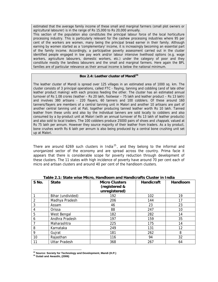estimated that the average family income of these small and marginal farmers (small plot owners or agricultural labourer) is in the range of Rs 15,000 to Rs 20,000 annually.

This section of the population also constitutes the principal labour force of the local horticulture processing industry. This is particularly relevant for the cashew processing industries where 95 per cent of the workers are women, many being the principal bread earner in their family. Although earning by women started as a 'complementary' income, it is increasingly becoming an essential part of the family income. Accordingly, a participative poverty assessment carried out in the cluster identified people engaged in low pay work and/or labour intensive livelihood options (e.g. wage workers, agriculture labourers, domestic workers, etc.) under the category of poor and they constitute mostly the landless labourers and the small and marginal farmers. Here again the BPL families are of particular relevance as their annual income is below the national minimum.

## **Box 2.4: Leather cluster of Mandi<sup>24</sup>**

The leather cluster of Mandi is spread over 125 villages in an estimated area of 1000 sq. km. The cluster consists of 3 principal operations, called FTC - flaying, tanning and cobbling (and of late other leather product making) with each process feeding the other. The cluster has an estimated annual turnover of Rs 1.08 crores (leather – Rs 20 lakh, footwear – 75 lakh and leather product – Rs 13 lakh) and involves 380 artisans - 220 flayers, 60 tanners and 100 cobblers. Of these around 160 tanners/flayers are members of a central tanning unit in Malori and another 10 artisans are part of another central tanning unit at Pali, together producing tanned leather worth Rs 10 lakh. Tanned leather from these units and also by the individual tanners are sold locally to cobblers and also consumed by a by-product unit at Malori (with an annual turnover of Rs 13 lakh of leather products) and also sold to local traders. The 100 cobblers produce 25000 pairs of shoes and *chappals*, valued at Rs 75 lakh per annum. However they source majority of their leather from traders. As a by product, bone crushes worth Rs 6 lakh per annum is also being produced by a central bone crushing unit set up at Malori.

There are around 6269 such clusters in India<sup>25</sup>, and they belong to the informal and unorganized sector of the economy and are spread across the country. Prima facie it appears that there is considerable scope for poverty reduction through development of these clusters. The 11 states with high incidence of poverty have around 70 per cent each of micro and artisan clusters and around 40 per cent of the handloom clusters.

| S No. | <b>State</b>         | <b>Micro Clusters</b><br>(registered &<br>unregistered) | Handicraft | Handloom |
|-------|----------------------|---------------------------------------------------------|------------|----------|
|       | Bihar (undivided)    | 192                                                     | 102        | 19       |
| 2     | Madhya Pradesh       | 206                                                     | 144        | 17       |
| 3     | Assam                | 46                                                      | 23         | 23       |
| 4     | Orissa               | 88                                                      | 247        | 10       |
| 5     | West Bengal          | 182                                                     | 282        | 14       |
| 6     | Andhra Pradesh       | 197                                                     | 159        | 35       |
|       | Maharashtra          | 225                                                     | 175        | 14       |
| 8     | Karnataka            | 249                                                     | 131        | 12       |
| 9     | Gujrat               | 181                                                     | 262        | 8        |
| 10    | Rajasthan            | 116                                                     | 94         | 32       |
| 11    | <b>Uttar Pradesh</b> | 368                                                     | 267        | 64       |

**Table 2.1: State wise Micro, Handloom and Handicrafts Cluster in India** 

 $\overline{a}$ <sup>24</sup> Source: Society for Technology and Development, Mandi (H.P.)<br><sup>25</sup> Gulati and Awasthi, (2006)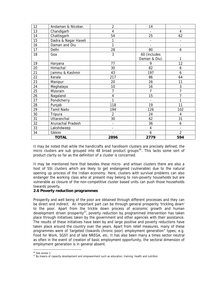| 12 | Andaman & Nicobar.   | $\overline{2}$ | 14             |                          |
|----|----------------------|----------------|----------------|--------------------------|
| 13 | Chandigarh           | 4              | $\blacksquare$ | 4                        |
| 14 | Chattisgarh          | 54             | 25             | 62                       |
| 15 | Dadra & Nagar Haveli |                | $\blacksquare$ | $\overline{\phantom{0}}$ |
| 16 | Daman and Diu        |                |                | $\overline{\phantom{0}}$ |
| 17 | Delhi                | 28             | 80             | 6                        |
| 18 | Goa                  | 3              | 60 (includes   |                          |
|    |                      |                | Daman & Diu)   | 1                        |
| 19 | Haryana              | 77             | 9              | 12                       |
| 20 | Himachal             | 30             | 82             | 6                        |
| 21 | Jammu & Kashmir      | 43             | 197            | 6                        |
| 22 | Kerala               | 217            | 86             | 64                       |
| 23 | Manipur              | 20             | 26             | 11                       |
| 24 | Meghalaya            | 10             | 16             | 3                        |
| 25 | Mizoram              | 7              | 7              | $\overline{7}$           |
| 26 | Nagaland             | 4              | 15             | 7                        |
| 27 | Pondicherry          |                | $\blacksquare$ | 1                        |
| 28 | Punjab               | 118            | 19             | 11                       |
| 29 | <b>Tamil Nadu</b>    | 194            | 126            | 102                      |
| 30 | Tripura              | $\overline{2}$ | 24             | 4                        |
| 31 | Uttaranchal          | 30             | 62             | 31                       |
| 32 | Arunachal Pradesh    | $\blacksquare$ | 36             | 6                        |
| 33 | Lakshdweep           |                | $\overline{4}$ |                          |
| 34 | <b>Sikkim</b>        |                | 6              | $\overline{2}$           |
|    | <b>TOTAL</b>         | 2896           | 2779           | 594                      |

It may be noted that while the handicrafts and handloom clusters are precisely defined, the micro clusters are sub grouped into 48 broad product groups<sup>26</sup>. This lacks some sort of product clarity so far as the definition of a cluster is concerned.

It may be mentioned here that besides these micro- and artisan clusters there are also a host of SSI clusters which are likely to get endangered (vulnerable) due to the natural opening up process of the Indian economy. Here, clusters with survival problems can also endanger the working class who at present may belong to non-poverty households but are vulnerable as closure of the non-competitive cluster based units can push those households towards poverty.

## **2.6 Poverty reduction programmes**

Prosperity and well being of the poor are obtained through different processes and they can be direct and indirect. An important part can be through general prosperity 'trickling down' to the poor. Apart from the trickle down process of economic growth and human development driven prosperity<sup>27</sup>, poverty reduction by programmed intervention has taken place through initiatives taken by the government and other agencies with their assistance. The results of these initiatives have been by and large positive and poverty reductions have taken place around the country over the years. Apart from relief measures, many of these programmes were of 'targeted (towards chronic poor) employment generation" types; e.g. Food for Work, SGSY and of late NREGA, etc. It has also been many a times sector neutral as often in the event of creation of basic employment opportunity, the sectoral dimension of employment generation is in general absent.

 $\overline{a}$  $26$  See annex 1

<sup>&</sup>lt;sup>27</sup> By means of capacity development and empowerment such as education, training, health and nutrition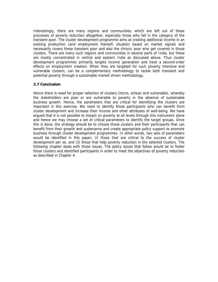Interestingly, there are many regions and communities, which are left out of these processes of poverty reduction altogether, especially those who fall in the category of the transient poor. The cluster development programme aims at creating additional income in an existing production (and employment thereof) situation based on market signals and necessarily covers these transient poor and also the chronic poor who get covered in those clusters. There are many such regions and communities in several parts of India, but these are mostly concentrated in central and eastern India as discussed above. Thus cluster development programmes primarily targets income generation and have a second-order effects on employment creation. When they are targeted for such poverty intensive and vulnerable clusters, can be a complementary methodology to tackle both transient and potential poverty through a sustainable market driven methodology.

## **2.7 Conclusion**

Hence there is need for proper selection of clusters (micro, artisan and vulnerable), whereby the stakeholders are poor or are vulnerable to poverty in the absence of sustainable business growth. Hence, the parameters that are critical for identifying the clusters are important in this exercise. We need to identify those participants who can benefit from cluster development and increase their income and other attributes of well-being. We have argued that it is not possible to impact on poverty at all levels through this instrument alone and hence we may choose a set of critical parameters to identify the target groups. Once this is done, the strategy should be to choose those clusters and their participants that can benefit from their growth and sustenance and create appropriate policy support to promote business through cluster development programmes. In other words, two sets of parameters would be identified in this paper; (i) those that are critical to the success of cluster development per se, and (ii) those that help poverty reduction in the selected clusters. The following chapter deals with those issues. The policy issues that follow would be to foster those clusters and identified participants in order to meet the objectives of poverty reduction as described in Chapter 4.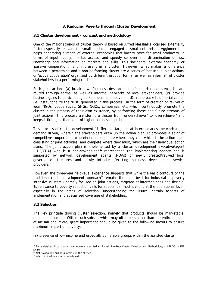# **3. Reducing Poverty through Cluster Development**

### **3.1 Cluster development – concept and methodology**

One of the major strands of cluster theory is based on Alfred Marshall's localised externality factor especially relevant for small producers engaged in small enterprises. Agglomeration helps generating a range of external economies that lowers costs for small producers, in terms of input supply, market access, and speedy spillover and dissemination of new knowledge and information on markets and skills. This 'incidental external economy' or 'passive cooperation', is omnipresent in a cluster. However, what makes a difference between a performing and a non-performing cluster are a series of 'conscious joint actions' or 'active cooperation' organized by different groups (formal as well as informal) of cluster stakeholders in a performing cluster.

Such 'joint actions' (a) break down 'business desirables' into 'small risk-able steps', (b) are routed through formal as well as informal networks of local stakeholders, (c) provide business gains to participating stakeholders and above all (d) create packets of social capital, i.e. institutionalize the trust (generated in this process), in the form of creation or revival of local NGOs, cooperatives, SHGs, NGOs, companies, etc. which continuously promote the cluster in the process of their own existence, by performing those and future streams of joint actions. This process transforms a cluster from 'underachiever' to 'overachiever' and keeps it ticking at that point of higher business equilibrium.

This process of cluster development<sup>28</sup> is flexible, targeted at intermediaries (networks) and demand driven, wherein the stakeholders draw up the action plan. It promotes a spirit of competitive cooperation, wherein firms cooperate where they can, which is the action plan, consisting of joint activities; and compete where they must, which are their individual action plans. The joint action plan is implemented by a cluster development executive/agent (CDE/CDA) who is a non-stakeholder  $29$  representing the implementing agency and is supported by network development agents (NDAs) of newly created/revived local governance structures and newly introduced/existing business development service providers.

However, the three-year field-level experience suggests that while the basic contours of the traditional cluster development approach<sup>30</sup> remains the same be it for industrial or poverty intensive clusters - namely focused on joint actions, targeted at intermediaries and flexible, its relevance to poverty reduction calls for substantial modifications at the operational level, especially in the areas of selection, understanding the issues, certain aspects of implementation and specialised coverage of stakeholders.

### **3.2 Selection**

The key principle driving cluster selection, namely that products should be marketable, remains untouched. Within such subset, which may often be smaller than the entire domain of artisan and micro, great importance should be given to the following factors to ensure maximum impact on poverty:

(a) presence of low income and especially vulnerable groups within the assisted cluster

 $\overline{a}$ <sup>28</sup> For a detailed discussion on Methodology, see Sarkar, Tamal: Pro-Poor Cluster Development Methodology of UNIDO, MSME (2007)

<sup>&</sup>lt;sup>29</sup> Not having any business interest in the cluster

<sup>&</sup>lt;sup>30</sup> Which in itself is about a decade old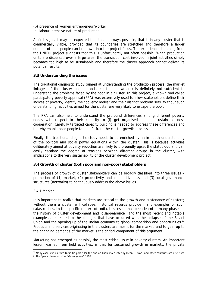- (b) presence of women entrepreneur/worker
- (c) labour intensive nature of production

At first sight, it may be expected that this is always possible, that is in any cluster that is commercially viable, provided that its boundaries are stretched and therefore a larger number of poor people can be drawn into the project focus. The experience stemming from the UNIDO project suggests that this is unfortunately not often possible. When production units are dispersed over a large area, the transaction cost involved in joint activities simply becomes too high to be sustainable and therefore the cluster approach cannot deliver its potential results.

## **3.3 Understanding the issues**

The traditional diagnostic study (aimed at understanding the production process, the market linkages of the cluster and its social capital endowment) is definitely not sufficient to understand the problems faced by the poor in a cluster. In this project, a known tool called participatory poverty appraisal (PPA) was extensively used to allow stakeholders define their indices of poverty, identify the "poverty nodes" and their distinct problem sets. Without such understanding, activities aimed for the cluster are very likely to escape the poor.

The PPA can also help to understand the profound differences among different poverty nodes with respect to their capacity to (i) get organised and (ii) sustain business cooperation. Carefully targeted capacity building is needed to address these differences and thereby enable poor people to benefit from the cluster growth process.

Finally, the traditional diagnostic study needs to be enriched by an in-depth understanding of the political and social power equations within the cluster. This is because activities deliberately aimed at poverty reduction are likely to profoundly upset the status quo and can easily escalate the degree of tensions between different groups in the cluster, with implications to the very sustainability of the cluster development project.

## **3.4 Growth of cluster (both poor and non-poor) stakeholders**

The process of growth of cluster stakeholders can be broadly classified into three issues – promotion of (1) market, (2) productivity and competitiveness and (3) local governance structures (networks) to continuously address the above issues.

### 3.4.1 Market

 $\overline{a}$ 

It is important to realize that markets are critical to the growth and sustenance of clusters; without them a cluster will collapse; historical records provide many examples of such catastrophes. In the specific context of India, this lesson has been learnt in many phases in the history of cluster development and 'disappearance', and the most recent and notable examples are related to the changes that have occurred with the collapse of the Soviet Union and the opening up of the Indian economy to global competition and opportunities.<sup>31</sup> Products and services originating in the clusters are meant for the market, and to gear up to the changing demands of the market is the critical component of this argument.

Marketing has emerged as possibly the most critical issue in poverty clusters. An important lesson learned from field activities, is that for sustained growth in markets, the private

<sup>&</sup>lt;sup>31</sup> Many case studies from India (in particular the one on Ludhiana cluster by Meenu Tiwari) and other countries are discussed in the Special Issue of World Development, 1999.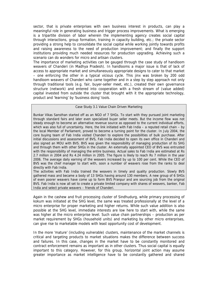sector, that is private enterprises with own business interest in products, can play a meaningful role in generating business and trigger process improvements. What is emerging is a tripartite division of labor wherein the implementing agency creates social capital through interactions, group formation, training in capacity building, etc.; the private sector providing a strong help to consolidate the social capital while working jointly towards profits and raising awareness to the need of production improvement; and finally the support institutions providing much needed resources for production upgrading. Achieving such a scenario can do wonders for micro and artisan clusters.

The importance of marketing activities can be gauged through the case study of handloom weavers of Chanderi (in Madhya Pradesh). In handlooms a major issue is that of lack of access to appropriate market and simultaneously appropriate designs to cater to that market – one enforcing the other in a typical vicious cycle. This jinx was broken by 200 odd handloom weavers of Chanderi who came together and in a step by step approach not only through traditional tools (e.g. fair, buyer-seller meet, etc.), created their own governance structure (network) and entered into cooperation with a fresh stream of (value added) capital invested from outside the cluster that brought with it the appropriate technology, product and 'learning' by 'business doing' tools.

#### Case Study 3.1 Value Chain Driven Marketing

Bunkar Vikas Sansthan started off as an NGO of 7 SHGs. To start with they pursued joint marketing through standard fairs and later even specialized buyer seller meets. But the income flow was not steady enough to become an alternative revenue source as opposed to the current individual efforts, which was also full of uncertainty. Here, the link initiated with Fab India – a reputed retail chain – by the local Member of Parliament, proved to become a turning point for the cluster. In July 2004, the core buying team of Fab India visited Chanderi to explore the possibilities of bulk purchase. After initial discussions and assessment of BVS, Fab India decided to open its own office in Chanderi and also signed an MOU with BVS. BVS was given the responsibility of managing production of its SHG and through them with other SHGs in the cluster. An externally appointed CEO of BVS was entrusted with the responsibility of managing the entire business. Actual sales to Fab India are estimated at Rs 2.7 million in 2004 and Rs 4.24 million in 2005. The figure is likely to reach Rs 7 million in the year 2006. The average daily earning of the weavers increased by up to 100 per cent. While the CEO of BVS was the chief manager to start with, soon a number of weavers rose from the ranks to deal directly with Fab India.

The activities with Fab India trained the weavers in timely and quality production. Slowly BVS gathered mass and became a body of 13 SHGs having around 130 members. A new group of 6 SHGs of even poorer weavers have come up to form BVS Pranpur and are sourcing job from the original BVS. Fab India is now all set to create a private limited company with shares of weavers, banker, Fab India and select private weavers – friends of Chanderi.

Again in the cashew and fruit processing cluster of Sindhudurg, while primary processing of kokum was initiated at the SHG level, the same was treated professionally at the level of a micro enterprise for proper marketing and higher returns. While such value addition is also possible at the SHG level, immediate interests are low here to start with, while the same was higher at the micro enterprise level. Such value chain partnerships – production as per market requirement by SHGs (household units) and marketing by other micro enterprises, can give rise to marketable models with least opportunity cost of development.

In the more 'mature' (including vulnerable) clusters, maintenance of the market channels is critical and targeting products to market situations makes the difference between success and failures. In this case, changes in the market have to be constantly monitored and contract enforcement remains as important as in other clusters. Thus social capital is equally important to this category. However, for this group, horizontal joint action may assume greater importance as market intelligence have to be constantly gathered and shared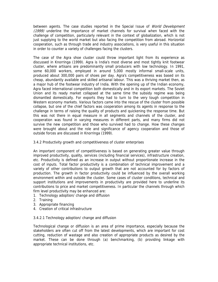between agents. The case studies reported in the Special Issue of World Development (1999) underline the importance of market channels for survival when faced with the challenge of competition, particularly relevant in the context of globalization, which is not just supplying to the world market but also facing the competition from abroad. Horizontal cooperation, such as through trade and industry associations, is very useful in this situation in order to counter a variety of challenges facing the clusters.

The case of the Agra shoe cluster could throw important light from its experience as discussed in Knorringa (1999). Agra is India's most diverse and most tightly knit footwear cluster, where artisans are predominantly small producers with low technology. In 1991, some 60,000 workers, employed in around 5,000 mostly informal small-scale units, produced about 300,000 pairs of shoes per day. Agra's competitiveness was based on its cheap, abundantly available and skilled artisanal labour. This was a thriving market then, as a major hub of the footwear industry of India. With the opening up of the Indian economy, Agra faced international competition both domestically and in its export markets. The Soviet Union and its ready market collapsed at the same time the subsidy regime was being dismantled domestically. For exports they had to turn to the very tough competition in Western economy markets. Various factors came into the rescue of the cluster from possible collapse, but one of the chief factors was cooperation among its agents in response to the challenge in terms of raising the quality of products and quickening the response time. But this was not there in equal measure in all segments and channels of the cluster, and cooperation was found in varying measures in different parts, and many firms did not survive the new competition and those who survived had to change. How these changes were brought about and the role and significance of agency cooperation and those of outside forces are discussed in Knorringa (1999).

## 3.4.2 Productivity growth and competitiveness of cluster enterprises

An important component of competitiveness is based on generating greater value through improved productivity, quality, services (including financial services), infrastructure creation, etc. Productivity is defined as an increase in output without proportionate increase in the cost of inputs. Total factor productivity is a combination of technical improvement and a variety of other contributions to output growth that are not accounted for by factors of production. The growth in factor productivity could be influenced by the overall working environment within and outside the cluster. Some cases of cluster conditions, technical and support institutions and improvements in productivity are provided here to underline its contributions to price and market competitiveness. In particular the channels through which firm level productivity may be enhanced are:

- 1. Technology adoption/ change and diffusion
- 2. Training
- 3. Appropriate financing
- 4. Creation of critical infrastructure

## 3.4.2.1 Technology adoption/ change and diffusion

Technological change or diffusion is an area of prime importance, especially because the stakeholders are often cut off from the latest developments, which are important for cost cutting, reduction of wastage and also creation of appropriate products as desired by the market. These can be done through (a) benchmarking, (b) providing linkage with appropriate technical institutions, etc.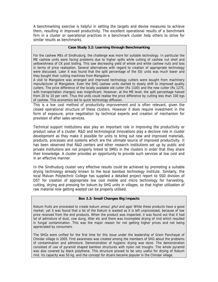A benchmarking exercise is helpful in setting the targets and devise measures to achieve them, resulting in improved productivity. The excellent operational results of a benchmark firm in a cluster or operational practices in a benchmark cluster help others to strive for similar results as benchmarks.

### **Case Study 3.2: Learning through Benchmarking**

For the cashew MEs of Sindhudurg, the challenge was more for suitable technology. In particular the ME cashew units were facing problems due to higher splits while cutting of cashew nut shell and yellowishness of CK post boiling. This saw decreasing yield of whole and white cashew nuts and loss in terms of price realisation. Several alternatives with regard to creation of appropriate technology were discussed. Later it was found that the split percentage of the SSI units was much lower and they bought their cutting machines from Mangalore.

A visit to Mangalore was arranged and improved technology cutters were bought from machinery manufacturer of Mangalore. Even the SHG cashew units started to slowly shift to improved quality cutters. The price difference of the locally available old cutter (Rs 1100) and the new cutter (Rs 1275, with transportation charges) was insignificant. However, at the ME level, the split percentage halved from 20 to 10 per cent. Thus the units could realise the price difference by cutting less than 100 kgs of cashew. This economics led to quick technology diffusion.

This is a low cost method of productivity improvement and is often relevant, given the closed operational structure of these clusters. However it does require investment in the form of exposure, price negotiation by technical experts and creation of mechanism for provision of after sales services.

Technical support institutions also play an important role in improving the productivity or product value of a cluster. R&D and technological innovations play a decisive role in cluster development as they make it possible for units to bring out new and improved materials, products, processes and systems which are the ultimate source of improved productivity. It has been observed that R&D centers and other research institutions set up by public and private institutions are not properly linked to SMEs in the clusters in order that they share their knowledge. A cluster provides an opportunity to provide such services at low cost and in an effective manner.

In the Sindhudurg cluster very effective results could be achieved by promoting a suitable drying technology already known to the local bamboo technology institute. Similarly, the local Malvan Polytechnic College has supplied a detailed project report to SSD division of DST for creation of appropriate low cost mobile and micro technology for harvesting, cutting, drying and pressing for kokum by SHG units in villages, so that higher utilization of raw material now getting wasted can be properly utilised.

### **Box 3.3: Small Changes Big Impacts**

Kokum fruits are processed to create kokum *amsul, ghul and agal*. While these products have a good market, yet it was found that a lot of the Kokum is wasted as it is left unprocessed, because of low price received from the end products. When the product was inspected, it was found out that it had lot of admixture of dust, cow dung, litter etc and there was incomplete drying of rind which resulted in fungal contamination. This was the major reason for not getting higher prices and not being appreciated by consumers.

The SHGs were unified for the first time for this issue under the leadership of Gram Panchayat of Chindar village in 2005. First awareness was created among the members of SHG about the problems of contamination and admixture. Demonstration of hygienic drying was done. The demonstration consisted of use of pyramid shaped bamboo structures with nylon net troughs. The whole pyramid was also covered by black polythene. This structure proved to be very useful for drying of Kokum rind. Its capacity was 50 kg. and the concept for dryers became popular in the Chindar village.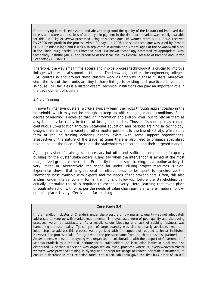Due to drying in enclosed system and above the ground the quality of the kokum rind improved due to less admixture and less loss of anthocyanin pigment in the rind. Local market was readily available for this 1000 kg of amsul processed using this technique. 16 women from 3 BPL SHGs received Rs.25000 net profit in the process within 90 days. In 2006, the same technique was used by 9 more SHG in Chindar village and it was also replicated in Aronda and Aros villages of the Sawantwadi block in the Sindhudurg district. This bamboo drier is a known technology promoted by Appropriate Rural technology Institute (ARTI) and produced at the local level by Central Institute of Bamboo and Rattan Technology (CIBART).

Therefore, the way small firms access and imbibe process technology it is crucial to improve linkages with technical support institutions. The knowledge centres like engineering colleges, R&D centres in and around these clusters work as catalysts in these clusters. Moreover, since the size of these units are tiny to have linkage to existing best practices, leave alone in-house R&D facilities is a distant dream, technical institutions can play an important role in the development of clusters.

## 3.4.2.2 Training

In poverty intensive clusters, workers typically learn their jobs through apprenticeship in the household, which may not be enough to keep up with changing market conditions. Some degree of learning is achieved through information and skill spillover, but to rely on them as a system may be costly in terms of losing the market. Thus craftsmanship may require continuous up-gradation through vocational education and periodic training in technology, design, materials, and a variety of other matter pertinent to the line of activity. While some form of regular training activities already exists with some support organizations, irrespective of the nature of the trade, at times there is also need to organize specialised training as per the need of the trade, the stakeholders concerned and their targeted market.

Again, provision of training is a necessary but often not sufficient component of capacity building for the cluster stakeholders. Especially when the intervention is aimed at the most marginalized groups in the cluster. Propensity to adopt such training, as a routine activity, is very limited or, alternatively, the scope for under utilising project resources is high. Experience shows that a great deal of effort needs to be spent to synchronize the knowledge base available with experts and the needs of the stakeholders. Often, this also implies longer interventions – formal training and follow-up, before the stakeholders can actually internalize the skills required to escape poverty. Here, learning that takes place through interaction with or as per the needs of value chain partners, wherein natural followup takes place, is very effective and far reaching.

## **Case Study 3.4**

In the handloom cluster of Chanderi, under the pressure of low margins, quality was not adequately addressed to keep up with market requirements. The dyes used were of poor quality and the dyeing practices were not satisfactory. As a result, colour bleeding and lack of rubbing fastness was hampering product quality. Typical yarn of large quantity was also not easily available. Important initial steps to address this process was organized with the support of reputed technical institutes. However, the process took a firm grip when the pressure came from the chain (business partner). An awareness workshop on dyeing was organised in collaboration with the support of Government of Madhya Pradesh by a reputed Institute for all stakeholders. An instruction leaflet in Hindi was also distributed. A second workshop was organised on dying practices where 50 dyers/weavers/master weavers were provided training in dyeing and appropriate usage of related scientific instruments, to ensure a decrease in their rejection rates. Yet, when Fab India gave the first bulk order of 10,000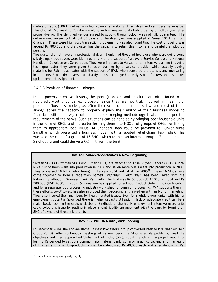meters of fabric (500 kgs of yarn) in four colours, availability of fast dyed and yarn became an issue. The CEO of BVS went to Coimbatore along with a weaver to do bulk ordering of cotton yarn after proper dyeing. The identified vendor agreed to supply, though colour was not fully guaranteed. The delivery mechanism took almost 50 days and the dyed yarn was supplied at Guna, 100 kms. from Chanderi. These were high cost transaction problems. It was also found that the cost of dyeing was around Rs 800,000 and the cluster has the capacity to retain this income and gainfully employ 20 persons.

The cluster did not have any professional dyer. It only had those ad hoc dyers who were doing some silk dyeing. 4 such dyers were identified and with the support of Weavers Service Centre and National Handloom Development Corporation. They were first sent to Valsad for an intensive training in dyeing technique. Later they were given hands-on-training by a service provider while actually dyeing materials for Fab India. Later with the support of BVS, who sponsored the utensils and measuring instruments, 3 part time dyers started a dye house. The dye house dyes both for BVS and also takes up independent assignment.

### 3.4.3.3 Provision of financial Linkages

In the poverty intensive clusters, the 'poor' (transient and absolute) are often found to be not credit worthy by banks, probably, since they are not truly involved in meaningful production/business models, as often their scale of production is low and most of them simply lacked the capacity to properly explain the viability of their business model to financial institutions. Again often their book keeping methodology is also not as per the requirements of the banks. Such situations can be handled by bringing poor household units in the form of SHGs and thereafter forming them into NGOs (of groups of SHGs) or linking them to appropriate local NGOs. At Chanderi, loan could be provided to Bunkar Vikas Sansthan which presented a business model with a reputed retail chain (Fab India). This was also the case of a group of 16 SHGs which formed an informal group – 'Sindhudnehi' in Sindhudurg and could derive a CC limit from the bank.

### **Box 3.5: Sindhusnehi Makes a New Beginning**

Sixteen SHGs (15 women SHGs and 1 men SHGs) are attached to Krishi Vigyan Kendra (KVK), a local NGO. Six of them went into production in 2004 and seven more SHGs went into production in 2005. They processed 10 MT (metric tones) in the year 2004 and 14 MT in 2005**<sup>32</sup>**. These 16 SHGs have come together to form a federation named Sindusheni. Sindhusnehi has been linked with the Ratnagiri Sindhudurg Grameen Bank, Ramgadh. The limit was Rs 50,000 (USD 1000) in 2004 and Rs 200,000 (USD 4500) in 2005. Sindhusnehi has applied for a Food Product Order (FPO) certification and for a separate food processing industry work shed for common processing. KVK supports them in these efforts. Sindhusnehi has also improved their packaging and linked up with an ME for marketing. They also insured their members for health related issues. Even for slightly bigger units, with higher employment potential (provided there is higher capacity utilisation), lack of adequate credit can be a major bottleneck. In the cashew cluster of Sindhudurg, the highly employment intensive micro units could solve this issue by putting in place a joint liability arrangement with the bank by forming an SHG of owners of those micro units.

### **Box 3.6: PRERNA into Joint Loaning**

In December 2004, the Konkan Ratna Cashew Processors' group converted itself to PRERNA Self Help Group (SHG). After continuous meetings of its members, the SHG listed its problems, fixed the objectives and then approached State Bank of India, (SBI), Kudal Branch with a project report for loan. SHG decided to set up a common raw material bank, common grading, packing and marketing of finished and other by-products. 7 members deposited Rs 40,000 each and after depositing Rs.

 $\overline{a}$ 

<sup>&</sup>lt;sup>32</sup> Production is completed yearly by July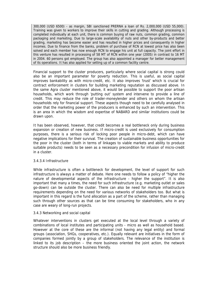300,000 (USD 6500) - as margin, SBI sanctioned PRERNA a loan of Rs. 2,000,000 (USD 55,000). Training was given to workers to improve their skills in cutting and grading. Although processing is completed individually at each unit, there is common buying of raw nuts, common grading, common packaging and marketing. Due to large-scale availability of nuts and other by-products and better grading, marketing has become easier and has resulted in higher prices and consequently in higher incomes. Due to finance from the banks, problem of purchase of RCN at lowest price has also been solved and each member has now enough RCN to engage his unit at full capacity. The joint effort in this venture has resulted in processing of 58 MT of RCN within one year (2005) in contrast to 16 MT in 2004. 60 persons got employed. The group has also appointed a manager for better management of its operations. It has also applied for setting up of a common facility centre.

Financial support to the cluster producers, particularly where social capital is strong could also be an important parameter for poverty reduction. This is useful, as social capital improves bankability as with micro-credit, etc. It also improves 'trust' which is crucial for contract enforcement in clusters for building marketing reputation as discussed above. In the same Agra cluster mentioned above, it would be possible to support the poor artisan households, which work through 'putting out' system and intervene to provide a line of credit. This may reduce the role of trader-moneylender and others on whom the artisan households rely for financial support. These aspects though need to be carefully analysed in order that the marketing power of the producers is enhanced by such an intervention. This is an area in which the wisdom and expertise of NABARD and similar institutions could be drawn upon.

It has been observed, however, that credit becomes a real bottleneck only during business expansion or creation of new business. If micro-credit is used exclusively for consumption purposes, there is a serious risk of locking poor people in micro-debt, which can have negative implications for their survival. The creation of sustainable business opportunities for the poor in the cluster (both in terms of linkages to viable markets and ability to produce suitable products) needs to be seen as a necessary precondition for infusion of micro-credit in a cluster.

### 3.4.3.4 Infrastructure

While infrastructure is often a bottleneck for development, the level of support for such infrastructure is always a matter of debate. Here one needs to follow a policy of "higher the nature of developmental aspects of the infrastructure - higher the support". It is also important that many a times, the need for such infrastructure (e.g. marketing outlet or sales go-down) can be outside the cluster. There can also be need for multiple infrastructure requirements depending on the need for various networks of stakeholders too. But what is important in this regard is the fund allocation as a part of the scheme, rather than managing such through other sources as that can be time consuming for stakeholders, who in any case are weary of long-run projects.

### 3.4.3 Networking and social capital

Whatever interventions in clusters get executed at the local level through a variety of combinations of local institutes and participating units - micro as well as household based. However at the core of these are the informal (not having any legal entity) and formal groups (association, SHGs, cooperatives, etc.). Equally relevant are initiatives in the form of companies formed jointly by a group of stakeholders. The relevance of the institution is linked to its job description – the more business oriented the joint action, the network structure should also be more business friendly.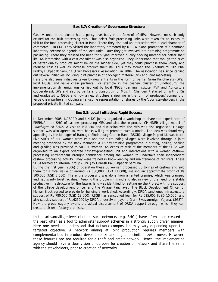#### **Box 3.7: Creation of Governance Structure**

Cashew units in the cluster had a policy level body in the form of KCMEA. However no such body existed for the fruit processing MEs. Thus select fruit processing units were taken for an exposure visit to the food-processing cluster in Pune. There they also had an interaction with a lead chamber of commerce - MCCIA. They visited the laboratory promoted by MCCIA. Soon promotion of a common laboratory became an agenda of the local units. Later they got involved into a training programme on packaging. There they realised the need for buying improved quality packing material for better shelf life. An interaction with a cost consultant was also organized. They understood that though the price of better quality products might be on the higher side, yet they could purchase them jointly and reduced cost as well as increase product shelf life. Thus they formed the Sindhudurg Zilla Phal Prakriya Utpadak Samuha (Fruit Processors' Association) in 2004. The association has since carried out several initiatives including joint purchase of packaging material (tin) and joint marketing. Here one also sees initiatives taken by new entrants in the form of banks, Gram Panchayats (GPs),

local NGOs, and value chain partners. For example in the cashew cluster of Sindhudurg, the implementation dynamics was carried out by local NGOS (training institute, KVK and Agriculture cooperatives), GPs and also by banks and consortium of MEs. In Chanderi it started off with SHGs and graduated to NGOs and now a new structure is ripening in the form of producers' company of value chain partners, including a handsome representation of shares by the 'poor' stakeholders in the proposed private limited company.

#### **Box 3.8: Local Initiatives Rapid Success**

In December 2005, NABARD and UNIDO jointly organized a workshop to share the experiences of PRERNA – an SHG of cashew processing MEs and also the in-process CHINDER village model of Panchayat-led SHGs. A visit to PRERNA and discussion with the MEs was also organised. Linkage support was also agreed to, with banks willing to promote such a model. The idea was found very appealing by the Manager of Ratnagiri Sindhudurg Gramin Bank (RSGB), village Poip of Malvan block. Five SHGs of BPL women from Poip and the surrounding villages were involved through a joint meeting organised by the Bank Manager. A 15-day training programme in cutting, boiling, peeling and grading was provided to 50 BPL women. An exposure visit of the members of the SHGs was organised to an export oriented cashew-processing unit and interactions with a woman cashewprocessing entrepreneur brought confidence among the women to undertake their independent cashew processing activity. They were trained in book-keeping and maintenance of registers. These SHGs formed an informal group - Shri Jay Ganesh Kaju Utpadak Samuha.

During the first year (2006) of operation these 50 women processed 10 tonnes of cashew and sold them for a total value of around Rs 600,000 (USD 14,000), making an approximate profit of Rs 100,000 (USD 2,500). The entire processing was done from a rented premise, which was cramped and had scanty toilet facilities. Keeping this problem in mind and also in view of the need for a stable productive infrastructure for the future, land was identified for setting up the Project with the support of the village development officer and the Village Panchayat. The Block Development Officer of Malvan Block agreed to provide for building a work shed. Accordingly, DRDA sanctioned infrastructure support of Rs 780,000 (USD 18,000). RSGB has sanctioned loan for Rs 625,000 (USD 15,000) and also subsidy support of Rs.625000 by DRDA under Swarnjayanti Gram Swayamrojgar Yojana. (SGSY). Now the group eagerly awaits the actual disbursement of DRDA support through which they can create their own factory premises.

In the artisan/village level clusters, such networks (e.g. SHGs) have often been created in the past, often as a tool to administer support schemes in a strongly supply driven manner. Here one needs to understand that network composition may vary depending upon the targeted objective. A network aiming at joint production requires members with complementarities in product development/marketing and similar size/turnover. However, these features are not required for a thrift and credit network. Hence, the implementing agency should have a clear vision of purpose for creation of network and share the same with the stakeholders, prior to creation of networks.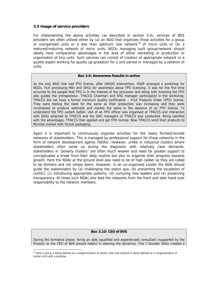## **3.5 Usage of service providers**

 $\overline{a}$ 

For implementing the above activities (as described in section 3.4), services of BDS providers are often utilized either by (a) an NGO that organizes those activities for a group of unorganized units or a less than optimum size network  $33$  of micro units or (b) a matured/maturing network of micro units. NGOs managing such group/network should ideally have comparative advantages in the area of either marketing or production or organisation of tiny units. Such services can consist of creation of appropriate network or a quality expert working for quality up-gradation for a unit owned or managed by a network of units.

#### **Box 3.9: Awareness Results in action**

As the only NGO that had FPO license, after UNIDO intervention, HSSP arranged a workshop for NGOs, fruit processing MEs and SHGs for awareness about FPO licensing. It was for the first time occurred to the people that FPO is in the interest of the processor and along with licensing the FPO also guides the entrepreneur. TPACCS Chairman and SHG manager participated in the workshop. TPACCS did not have a formal minimum quality certification – Fruit Products Order (FPO) license. They were feeling the need for the same as their production was increasing and they were constrained to produce optimally and market the same in the absence of an FPO license. To understand the FPO system better, visit of an FPO officer was organised at TPACCS and interaction with SHGs attached to TPACCS and the SHG managers of TPACCS was conducted. Being satisfied with the advantages, TPACCS then applied and got FPO license. Now TPACCS send their products to Mumbai market with formal packaging.

Again it is important to continuously organise activities for the newly formed/revived networks of stakeholders. This is managed by professional support for those networks in the form of network development agents (NDAs). However, unlike in industrial clusters where stakeholders often come up during the diagnostic with relatively clear demands, stakeholders in "poverty clusters" are often much weaker and need far greater support to conceptualize a break from their daily routine but also to organize their progress towards growth. Here the NDAs at the ground level also need to be of high caliber as they are called to be thinkers and not simply doers. However, in an un-organised cluster the NDA should guide the stakeholders by (a) challenging the status quo, (b) preventing the escalation of conflict, (c) introducing appropriate systems, (d) nurturing new leaders and (e) preserving transparency. At times such NDAs also lead the networks from the front and later hand over responsibility to the network members.

### **Box 3.10: CEO of BVS**

During the formative phase, hiring an able (qualified and experienced) consultant (supported by the Project) as the CEO of BVS proved helpful in steering the dynamics. The 7 founder SHGs created a

 $33$  Here a group is being defined as a conglomeration of similar units and network is being defined as a conglomeration of similar units with a purpose.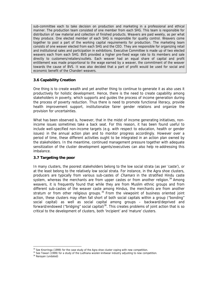sub-committee each to take decision on production and marketing in a professional and ethical manner. The production team consisted of one member from each SHG. This team is responsible for distribution of raw material and collection of finished products. Weavers are paid weekly, as per what they produce. One elected member of each SHG is responsible for quality control. Weavers come together to pool a part of the working capital requirements for production. The marketing team consists of one weaver elected from each SHG and the CEO. They are responsible for organizing retail and institutional sales and participation in exhibitions. Executive Committee is made up of two elected weavers each from each SHG. BVS provided a higher pre-fixed wage rate to its members and sale directly to customers/retailers/outlets. Each weaver had an equal share of capital and profit entitlement was made proportional to the wage earned by a weaver, the commitment of the weaver towards the cause of BVS. It was also decided that a part of profit would be used for social and economic benefit of the Chanderi weavers.

## **3.6 Capability Creation**

One thing is to create wealth and yet another thing to continue to generate it as also uses it productively for holistic development. Hence, there is the need to create capability among stakeholders in poverty, which supports and guides the process of income generation during the process of poverty reduction. Thus there is need to promote functional literacy, provide health improvement support, institutionalize fairer gender relations and organize the provision for uncertainties.

What has been observed is, however, that in the midst of income generating initiatives, nonincome issues sometimes take a back seat. For this reason, it has been found useful to include well-specified non-income targets (e.g. with respect to education, health or gender issues) in the annual action plan and to monitor progress accordingly. However over a period of time, these different activities ought to be integrated in an action plan owned by the stakeholders. In the meantime, continued management pressure together with adequate sensitization of the cluster development agents/executives can also help re-addressing this imbalance.

## **3.7 Targeting the poor**

In many clusters, the poorest stakeholders belong to the low social strata (as per 'caste'), or at the least belong to the relatively low social strata. For instance, in the Agra shoe clusters, producers are typically from various sub-castes of *Chamars* in the stratified Hindu caste system, whereas the merchants are from upper castes or from another religion. $34$  Among weavers, it is frequently found that while they are from Muslim ethnic groups and from different sub-castes of the weaver caste among Hindus, the merchants are from another stratum or from other religious groups.  $35$  From the viewpoint of business oriented joint action, these clusters may often fall short of both social capitals within a group ("bonding" social capital) as well as social capital among groups – backward/deprived and forward/endowed ("bridging" social capital)<sup>36</sup>. This creates problems of joint action that is so critical to the development of clusters, both 'incipient' and 'mature' clusters.

 $\overline{a}$ 

 $34$  See Knorringa (1999) for the case study of the Agra shoe cluster coping with new competition.

 $35$  See Tewari (1999) for a study of the Ludhiana woolen knitwear industry adjusting to new competition.<br> $36$  Naravan (undated)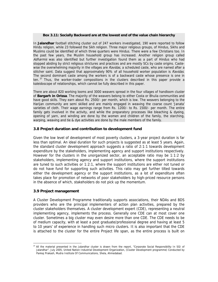#### **Box 3.11: Socially Backward are at the lowest end of the value chain hierarchy**

In **Jalandhar** football stitching cluster out of 247 workers investigated, 190 were reported to follow Hindu religion, while 23 followed the Sikh religion. Three major religious groups, of Hindus, Sikhs and Muslims could be identified of which three quarters were Hindus. There were a few Christians too. In the past few years, the Muslim household group has increased. Another religion group called Adharmis was also identified but further investigation found them as a part of Hindus who had stopped abiding by strict religious strictures and practices and are mostly SCs by caste origins. Castewise the overwhelming majority in the villages are *Ravidas*, a scheduled caste, who are named after a stitcher saint. Data suggest that approximately 90% of all household worker population is Ravidas. The second dominant caste among the workers is of a backward caste whose presence is one in ten.  $37$  Thus, the worker-trader compositions in the clusters described in this paper provide a kaleidoscope of relationships, which cannot be fully described in this paper.

There are about 820 working looms and 3000 weavers spread in the four villages of handloom cluster of **Bargarh in Orissa**. The majority of the weavers belong to either Costa or Bhulia communities and have good skills. They earn about Rs. 2500/- per month, which is low. The weavers belonging to the Harijan community are semi skilled and are mainly engaged in weaving the coarse count 'Janata' varieties of cloth. Their wage earnings range from Rs. 1200/- to Rs. 1500/- per month. The entire family gets involved in the activity, and while the preparatory processes like bleaching & dyeing, opening of yarn, and winding are done by the women and children of the family, the starching, warping, weaving and tie & dye activities are done by the male members of the family.

### **3.8 Project duration and contribution to development fund**

Given the low level of development of most poverty clusters, a 3-year project duration is far less than optimal. An ideal duration for such projects is suggested as at least 5 years. Again, the standard cluster development approach suggests a ratio of 2:1:1 towards development expenditure by the stakeholders, implementing agency and support institutions respectively. However for the clusters in the unorganized sector, an acceptable ratio may be 1:1:2 by stakeholders, implementing agency and support institutions, where the support institutions are tuned to such activities or 1:2:1, where the support institutions are either not tuned or do not have fund for supporting such activities. This ratio may get further tilted towards either the development agency or the support institutions, as a lot of expenditure often takes place for promotion of networks of poor stakeholders by high-priced resource persons in the absence of which, stakeholders do not pick up the momentum.

### **3.9 Project management**

 $\overline{a}$ 

A Cluster Development Programme traditionally supports associations, their NDAs and BDS providers who are the principal implementers of action plan activities, prepared by the cluster stakeholders themselves. A cluster development expert (CDE), representing a neutral implementing agency, implements the process. Generally one CDE can at most cover one cluster. Sometimes a big cluster may even desire more than one CDE. The CDE needs to be of medium capacity, with at least a post graduate/professional degree and having at least 5 to 10 years' of experience in handling such micro clusters. It is also important that the CDE is attached to the cluster for the entire Project life span, as the entire process is built on

<sup>&</sup>lt;sup>37</sup> All the material presented in the Jalandhar cluster is drawn from the report, "Corporate Social Responsibility In SGI of Jalandhar", July 2005, United Nation Industrial Development Organization, (Cluster Development programme) Conducted by Pankaj Prakash, Mudra Institute Of Communications, Shela, Ahmedabad.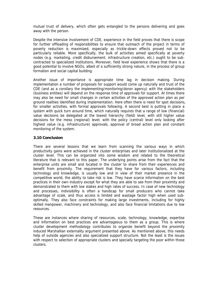mutual trust of delivery, which often gets entangled to the persons delivering and goes away with the person.

Despite the intensive involvement of CDE, experience in the field proves that there is scope for further offloading of responsibilities to ensure that outreach of the project in terms of poverty reduction is maximized, especially as trickle-down effects proved not to be particularly reliable. More specifically, the bulk of activities aimed specifically at poverty nodes (e.g. marketing, credit disbursement, infrastructure creation, etc.) ought to be subcontracted to specialized institutions. Moreover, field level experience shows that there is a good potential to involve NGOs, albeit of a sufficiently strong nature, in the process of group formation and social capital building.

Another issue of importance is appropriate time lag in decision making. During implementation a number of proposals for support would come up naturally and trust of the CDE (and as a corollary the implementing/monitoring/donor agency) with the stakeholders (business entities) will depend on the response time of approvals for support. At times there may also be need for small changes in certain activities of the approved action plan as per ground realities identified during implementation. Here often there is need for spot decisions, for smaller activities, with formal approvals following. A second best is putting in place a system with quick turn around time, which naturally requires that a range of low (financial) value decisions be delegated at the lowest hierarchy (field) level, with still higher value decisions for the meso (regional) level; with the policy (central) level only looking after highest value (e.g. infrastructure) approvals, approval of broad action plan and constant monitoring of the system.

## **3.10 Conclusion**

There are several lessons that we learn from scanning the various ways in which productivity gains were achieved in the cluster enterprises and later institutionalized at the cluster level. This can be organized into some wisdom and related to the theoretical literature that is relevant to this paper. The underlying points arise from the fact that the enterprise units are small and located in the cluster to share from their experiences and benefit from proximity. The requirement that they have for various factors, including technology and knowledge, is usually low and in view of their market presence in the competitive world, the ability to take risk is low. They have scarce information on the best practices in their own industry except for what they are able to see from their proximity and demonstrated to them with low stakes and high rates of success. In case of new technology and processes, indivisibility is often a handicap for small producers who cannot take advantage of scale, and thus access is limited and wastage factor high when used suboptimally. They also face constraints for making large investments, including for highly skilled manpower, machinery and technology, and also face financial limitations due to low resources.

These are instances where sharing of resources, scale, technology, knowledge, expertise and information on best practices are advantageous to them as a group. This is where cluster development methodology contributes to organize benefit beyond the proximity induced Marshallian externality argument presented above. As mentioned above, this needs help of outside agencies and also specialized support structure. Not the least is the issues with respect to selection of appropriate clusters and specially targeting the poor within those clusters.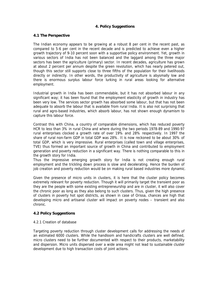# **4. Policy Suggestions**

## **4.1 The Perspective**

The Indian economy appears to be growing at a robust 8 per cent in the recent past, as compared to 5-6 per cent in the recent decade and is predicted to achieve even a higher growth trajectory of 9-10 percent soon with a supportive policy environment. Yet, growth in various sectors of India has not been balanced and the laggard among the three major sectors has been the agriculture (primary) sector. In recent decades, agriculture has grown at about 2 percent per annum despite the green revolution, which has nearly petered out, though this sector still supports close to three fifths of the population for their livelihoods directly or indirectly. In other words, the productivity of agriculture is abysmally low and there is enormous surplus labour force lurking in rural areas looking for alternative employment.

Industrial growth in India has been commendable, but it has not absorbed labour in any significant way; it has been found that the employment elasticity of growth in industry has been very low. The services sector growth has absorbed some labour, but that has not been adequate to absorb the labour that is available from rural India. It is also not surprising that rural and agro-based industries, which absorb labour, has not shown enough dynamism to capture this labour force.

Contrast this with China, a country of comparable dimensions, which has reduced poverty HCR to less than 3% in rural China and where during the two periods 1978-89 and 1990-97 rural enterprises clocked a growth rate of over 19% and 28% respectively. In 1997 the share of rural non-farm GDP in total GDP was 28%. It is now reckoned to be about 30% of total GDP, which is very impressive. Rural enterprises (called town and village enterprises, TVE) thus formed an important source of growth in China and contributed to employment generation and poverty reduction in a significant way. There is nothing comparable to this in the growth story for India.

Thus the impressive emerging growth story for India is not creating enough rural employment and the trickling down process is slow and decelerating. Hence the burden of job creation and poverty reduction would be on making rural based industries more dynamic.

Given the presence of micro units in clusters, it is here that the cluster policy becomes extremely relevant for poverty reduction. Though it will primarily target the transient poor as they are the people with some existing entrepreneurship and are in cluster, it will also cover the chronic poor as long as they also belong to such clusters. Thus, given the high presence of clusters in poverty hot spot districts, as shown in case of Orissa, chances are high that developing micro and artisanal cluster will impact on poverty nodes – transient and also chronic.

# **4.2 Policy Suggestions**

## 4.2.1 Creation of database

Targeting poverty reduction through cluster development calls for addressing the needs of an estimated 6000 clusters. While the handloom and handicrafts clusters are well defined, micro clusters need to be further documented with respect to their products, marketability and dispersion. Micro units dispersed over a wide area might not lead to sustainable cluster development due to high transaction costs of joint actions.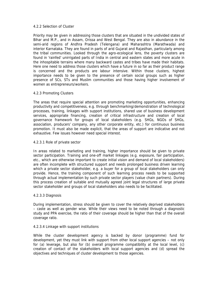### 4.2.2 Selection of Cluster

Priority may be given in addressing those clusters that are situated in the undivided states of Bihar and M.P., and in Assam, Orissa and West Bengal. They are also in abundance in the semi-arid regions of Andhra Pradesh (Telengana) and Maharashtra (Marathwada) and interior Karnataka. They are found in parts of arid Gujarat and Rajasthan, particularly among the tribal communities. Looked through the agro-ecological lens, the poverty clusters are found in 'rainfed' unirrigated parts of India in central and eastern states and more acute in the inhospitable terrains where many backward castes and tribes have made their habitats. Here one need to address those clusters which have a future in so far as their product range is concerned and the products are labour intensive. Within those clusters, highest importance needs to be given to the presence of certain social groups such as higher presence of SCs, STs and Muslim communities and those having higher involvement of women as entrepreneurs/workers.

## 4.2.3 Promoting Clusters

The areas that require special attention are promoting marketing opportunities, enhancing productivity and competitiveness, e.g. through benchmarking/demonstration of technological processes, training, linkages with support institutions, shared use of business development services, appropriate financing, creation of critical infrastructure and creation of local governance framework for groups of local stakeholders (e.g. SHGs, NGOs of SHGs, association, producers' company, any other corporate entity, etc.) for continuous business promotion. It must also be made explicit, that the areas of support are indicative and not exhaustive. Few issues however need special interest.

### 4.2.3.1 Role of private sector

In areas related to marketing and training, higher importance should be given to private sector participation. Training and one-off market linkages (e.g. exposure, fair participation, etc., which are otherwise important to create initial vision and demand of local stakeholders) are often incomplete with structured support and needs prolonged business driven learning which a private sector stakeholder, e.g. a buyer for a group of local stakeholders can only provide. Hence, the training component of such learning process needs to be supported through actual implementation by such private sector players (value chain partners). During this process creation of suitable and mutually agreed joint legal structures of large private sector stakeholder and groups of local stakeholders also needs to be facilitated.

### 4.2.3.3 Diagnosis

During implementation, stress should be given to cover the relatively deprived stakeholders – caste as well as gender wise. While their views need to be noted through a diagnostic study and PPA exercise, the ratio of their coverage should be higher than that of the overall coverage ratio.

### 4.2.3.4 Linkage with support institutions

While the cluster development agency is backed by donor (programme) fund for development, yet they must link with support from other local support agencies – not only for (a) leverage, but also for (b) overall programme compatibility at the local level, (c) creation of contact of the stakeholders with local support agencies and (d) spread the objectives and techniques of cluster development to those agencies.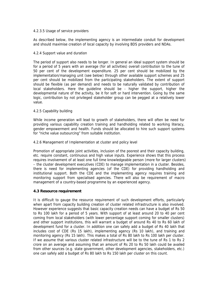### 4.2.3.5 Usage of service providers

As described below, the implementing agency is an intermediate conduit for development and should maximise creation of local capacity by involving BDS providers and NDAs.

### 4.2.4 Support value and duration

The period of support also needs to be longer. In general an ideal support system should be for a period of 5 years with an average (for all activities) overall contribution to the tune of 50 per cent of the development expenditure. 25 per cent should be mobilized by the implementation/managing unit (see below) through other available support schemes and 25 per cent should be mobilized from the participating stakeholders. The extent of support should be flexible (as per demand) and needs to be naturally validated by contribution of local stakeholders. Here the guideline should be - higher the support, higher the developmental nature of the activity, be it for soft or hard intervention. Going by the same logic, contribution by not privileged stakeholder group can be pegged at a relatively lower value.

## 4.2.5 Capability building

While income generation will lead to growth of stakeholders, there will often be need for providing various capability creation training and handholding related to working literacy, gender empowerment and health. Funds should be allocated to hire such support systems for "niche value outsourcing" from suitable institution.

### 4.2.6 Management of Implementation at cluster and policy level

Promotion of appropriate joint activities, inclusion of the poorest and their capacity building, etc. require constant, continuous and high value inputs. Experience shows that this process requires involvement of at least one full time knowledgeable person (more for larger clusters) – the cluster development executives (CDE) to manage implementation in a cluster. Besides, there is need for implementing agencies (of the CDE) for providing handholding and institutional support. Both the CDE and the implementing agency requires training and monitoring support from specialised agencies. There will also be requirement of macro management of a country-based programme by an experienced agency.

## **4.3 Resource requirement**

It is difficult to gauge the resource requirement of such development efforts, particularly when apart from capacity building creation of cluster related infrastructure is also involved. However experience suggests that basic capacity creation needs can have a budget of Rs 50 to Rs 100 lakh for a period of 5 years. With support of at least around 20 to 40 per cent coming from local stakeholders (with lower percentage support coming for smaller clusters) and other support institutions, this will warrant a budget of around Rs 40 to Rs 60 lakh of development fund for a cluster. In addition one can safely add a budget of Rs 40 lakh that includes cost of CDE (Rs 15 lakh), implementing agency (Rs 10 lakh), and training and monitoring agency (Rs 15 lakh). This makes a total of Rs 80 lakh to Rs 100 lakh per cluster. If we assume that various cluster related infrastructure will be to the tune of Rs 1 to Rs 2 crore on an average and assuming that an amount of Rs 20 to Rs 50 lakh could be availed from other sources (e.g. state government, other development agencies, stakeholders, etc.) one can safely add a budget of Rs 80 lakh to Rs 150 lakh per cluster on this count.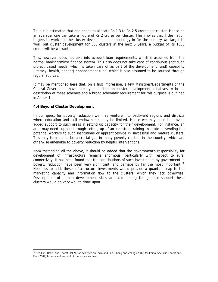Thus it is estimated that one needs to allocate Rs 1.3 to Rs 2.5 crores per cluster. Hence on an average, one can take a figure of Rs 2 crores per cluster. This implies that if the nation targets to work out the cluster development methodology in for the country we target to work out cluster development for 500 clusters in the next 5 years, a budget of Rs 1000 crores will be warranted.

This, however, does not take into account loan requirements, which is assumed from the normal banking/micro finance system. This also does not take care of continuous (not such project based needs, which is taken care of as part of the development fund) capability (literacy, health, gender) enhancement fund, which is also assumed to be sourced through regular sources.

It may be mentioned here that, on a first impression, a few Ministries/Departments of the Central Government have already embarked on cluster development initiatives. A broad description of these schemes and a broad schematic requirement for this purpose is outlined in Annex 1.

## **4.4 Beyond Cluster Development**

 $\overline{a}$ 

In our quest for poverty reduction we may venture into backward regions and districts where education and skill endowments may be limited. Hence we may need to provide added support to such areas in setting up capacity for their development. For instance, an area may need support through setting up of an industrial training Institute or sending the potential workers to such institutions or apprenticeships in successful and mature clusters. This may turn out to be a crucial gap in many poverty clusters in the country, which are otherwise amenable to poverty reduction by helpful interventions.

Notwithstanding all the above, it should be added that the government's responsibility for development of infrastructure remains enormous, particularly with respect to rural connectivity. It has been found that the contributions of such investments by government in poverty reduction have been very significant, and perhaps by far the most important.<sup>38</sup> Needless to add, these infrastructure investments would provide a quantum leap to the marketing capacity and information flow to the clusters, which they lack otherwise. Development of human development skills are also among the general support these clusters would do very well to draw upon.

<sup>&</sup>lt;sup>38</sup> See Fan, Hazell and Thorat (1999) for evidence on India and Fan, Zhang and Zhang (2002) for China. See also Thorat and Fan (2007) for a recent account of the issues involved.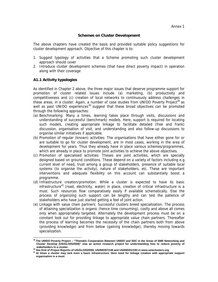### **Schemes on Cluster Development**

The above chapters have created the basis and provided suitable policy suggestions for cluster development approach. Objective of this chapter is to:

- 1. Suggest typology of activities that a Scheme promoting such cluster development approach should cover
- 2. Introduce cluster development schemes (that have direct poverty impact) in operation along with their coverage

### **A1.1 Activity typologies**

As identified in Chapter 2 above, the three major issues that deserve programme support for promotion of cluster related issues include (a) marketing, (b) productivity and competitiveness and (c) creation of local networks to continuously address challenges in these areas, in a cluster. Again, a number of case studies from UNIDO Poverty Project<sup>39</sup> as well as past UNIDO experiences<sup>40</sup> suggest that these broad objectives can be promoted through the following approaches:

- (a) Benchmarking: Many a times, learning takes place through visits, discussions and understanding of successful (benchmark) models. Here, support is required for locating such models, creating appropriate linkage to facilitate detailed (free and frank) discussion, organisation of visit, and understanding and also follow-up discussions to organise similar initiatives if applicable.
- (b) Promotion of regular (known) activities: The organisations that have either gone for or are suitable to go for cluster development, are in most cases, working in the area of development for years. Thus they already have in place various schemes/programmes, which are already in place to promote joint activities to achieve the above objectives.
- (c) Promotion of specialised activities: Theses are joint activities, which are specially designed based on ground conditions. These depend on a variety of factors including e.g. current level of need, trust among a group of stakeholders, presence of suitable local systems (to organise the activity), nature of stakeholders, etc. These are important interventions and adequate flexibility on this account can substantially boost a programme.
- (d) Infrastructure creation/promotion: While a cluster is expected to have its basic infrastructure<sup>41</sup> (road, electricity, water) in place, creation of critical infrastructure is a must. Such resources flow comparatively easily if available schematically. Else the process of organizing such support can be lengthy and can test the patience of stakeholders who have just started getting a feel of joint action.
- (e) Linkage with value chain partners: Successful clusters breed specialization. The process of attaining specialization is organic (hence time consuming), costly and above all comes only when appropriately targeted. Alternately the development process must be on a constant look out for providing linkage to appropriate value chain partners. Thereafter the process of learning becomes the necessity of the chain partners both from above (providing knowledge) and from below (gaining knowledge), thereby moving towards specialization.

 $\overline{a}$ **39 The UNIDO Poverty Project – "Thematic Cooperation Between UNIDO and SDC in the Areas of SME Networking and Cluster Develop (US/GLO/02/059)" was an action research project for understanding how to reduce poverty of** 

<sup>40</sup> Standard and Troject Reports of US/GLO/02/059, US/IND/97/148 and US/IND/01/193 in www.smeclusters.org<br>41 At times a cluster may lack even a basic infrastructure. Here need for linkage creation with appropriate support **organisation is a must.**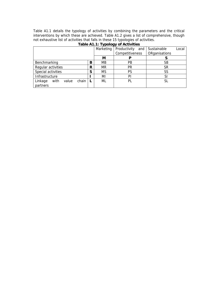Table A1.1 details the typology of activities by combining the parameters and the critical interventions by which these are achieved. Table A1.2 gives a list of comprehensive, though not exhaustive list of activities that falls in these 15 typologies of activities.

|                                   |    | Marketing | Productivity<br>and | Local<br>Sustainable |  |  |  |  |  |
|-----------------------------------|----|-----------|---------------------|----------------------|--|--|--|--|--|
|                                   |    |           | Competitiveness     | ORganisations        |  |  |  |  |  |
|                                   |    | М         |                     |                      |  |  |  |  |  |
| Benchmarking                      |    | <b>MB</b> | PB                  | SВ                   |  |  |  |  |  |
| Regular activities                | R  | <b>MR</b> | <b>PR</b>           | SR                   |  |  |  |  |  |
| Special activities                |    | <b>MS</b> | PS                  | SS                   |  |  |  |  |  |
| Infrastructure                    |    | ΜI        | PI                  | SI                   |  |  |  |  |  |
| with<br>chain<br>Linkage<br>value | -L | ML        | PL                  | SL                   |  |  |  |  |  |
| partners                          |    |           |                     |                      |  |  |  |  |  |

# **Table A1.1: Typology of Activities**